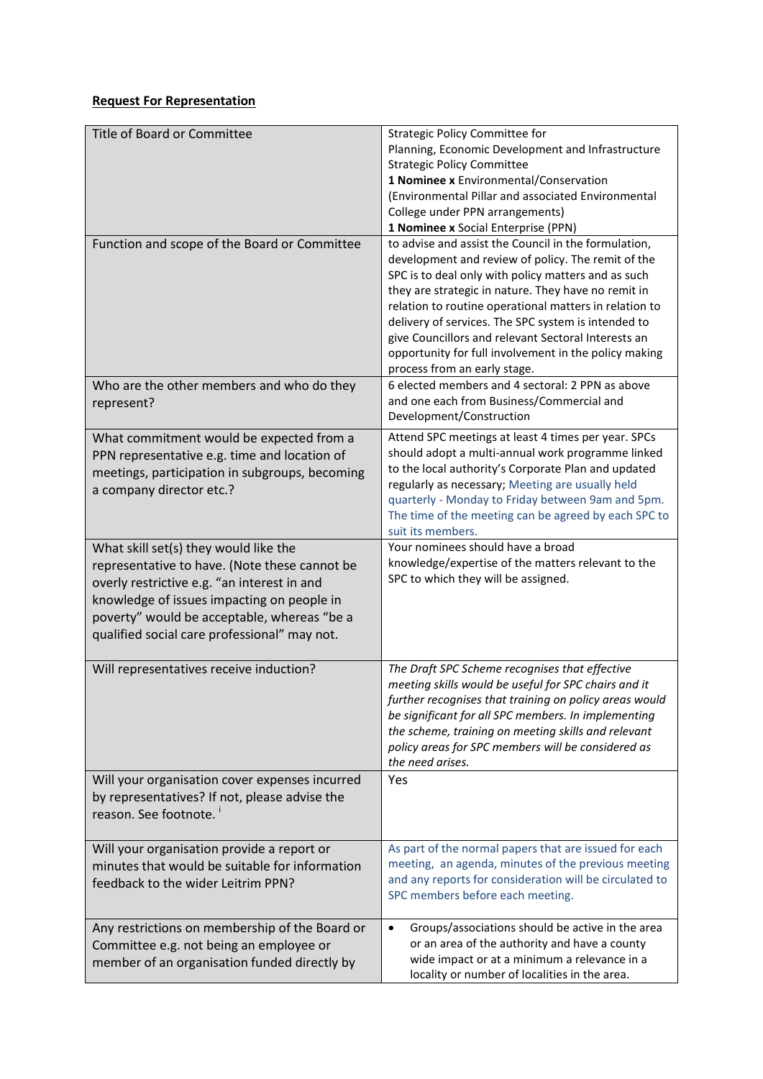## **Request For Representation**

| Title of Board or Committee                                                                                                                                                                                                                                                        | Strategic Policy Committee for<br>Planning, Economic Development and Infrastructure<br><b>Strategic Policy Committee</b><br>1 Nominee x Environmental/Conservation<br>(Environmental Pillar and associated Environmental<br>College under PPN arrangements)<br>1 Nominee x Social Enterprise (PPN)                                                                                                                                                                                        |
|------------------------------------------------------------------------------------------------------------------------------------------------------------------------------------------------------------------------------------------------------------------------------------|-------------------------------------------------------------------------------------------------------------------------------------------------------------------------------------------------------------------------------------------------------------------------------------------------------------------------------------------------------------------------------------------------------------------------------------------------------------------------------------------|
| Function and scope of the Board or Committee                                                                                                                                                                                                                                       | to advise and assist the Council in the formulation,<br>development and review of policy. The remit of the<br>SPC is to deal only with policy matters and as such<br>they are strategic in nature. They have no remit in<br>relation to routine operational matters in relation to<br>delivery of services. The SPC system is intended to<br>give Councillors and relevant Sectoral Interests an<br>opportunity for full involvement in the policy making<br>process from an early stage. |
| Who are the other members and who do they<br>represent?                                                                                                                                                                                                                            | 6 elected members and 4 sectoral: 2 PPN as above<br>and one each from Business/Commercial and<br>Development/Construction                                                                                                                                                                                                                                                                                                                                                                 |
| What commitment would be expected from a<br>PPN representative e.g. time and location of<br>meetings, participation in subgroups, becoming<br>a company director etc.?                                                                                                             | Attend SPC meetings at least 4 times per year. SPCs<br>should adopt a multi-annual work programme linked<br>to the local authority's Corporate Plan and updated<br>regularly as necessary; Meeting are usually held<br>quarterly - Monday to Friday between 9am and 5pm.<br>The time of the meeting can be agreed by each SPC to<br>suit its members.                                                                                                                                     |
| What skill set(s) they would like the<br>representative to have. (Note these cannot be<br>overly restrictive e.g. "an interest in and<br>knowledge of issues impacting on people in<br>poverty" would be acceptable, whereas "be a<br>qualified social care professional" may not. | Your nominees should have a broad<br>knowledge/expertise of the matters relevant to the<br>SPC to which they will be assigned.                                                                                                                                                                                                                                                                                                                                                            |
| Will representatives receive induction?                                                                                                                                                                                                                                            | The Draft SPC Scheme recognises that effective<br>meeting skills would be useful for SPC chairs and it<br>further recognises that training on policy areas would<br>be significant for all SPC members. In implementing<br>the scheme, training on meeting skills and relevant<br>policy areas for SPC members will be considered as<br>the need arises.                                                                                                                                  |
| Will your organisation cover expenses incurred<br>by representatives? If not, please advise the<br>reason. See footnote.                                                                                                                                                           | Yes                                                                                                                                                                                                                                                                                                                                                                                                                                                                                       |
| Will your organisation provide a report or<br>minutes that would be suitable for information<br>feedback to the wider Leitrim PPN?                                                                                                                                                 | As part of the normal papers that are issued for each<br>meeting, an agenda, minutes of the previous meeting<br>and any reports for consideration will be circulated to<br>SPC members before each meeting.                                                                                                                                                                                                                                                                               |
| Any restrictions on membership of the Board or<br>Committee e.g. not being an employee or<br>member of an organisation funded directly by                                                                                                                                          | Groups/associations should be active in the area<br>$\bullet$<br>or an area of the authority and have a county<br>wide impact or at a minimum a relevance in a<br>locality or number of localities in the area.                                                                                                                                                                                                                                                                           |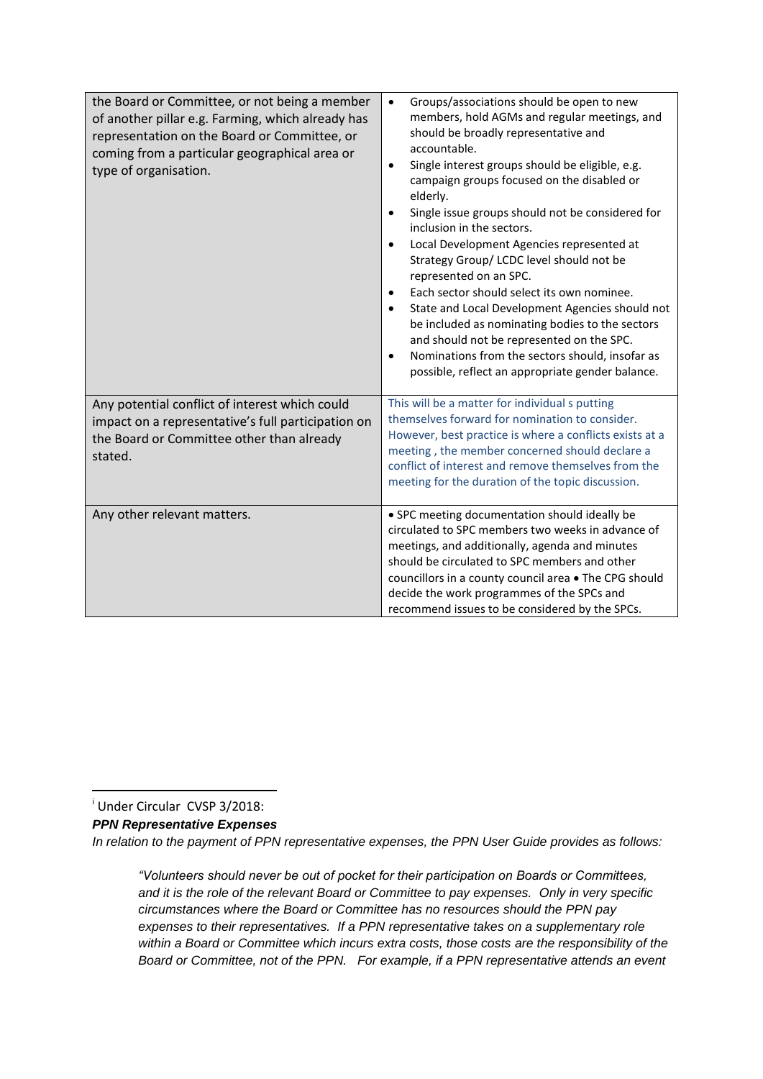| the Board or Committee, or not being a member<br>of another pillar e.g. Farming, which already has<br>representation on the Board or Committee, or<br>coming from a particular geographical area or<br>type of organisation. | Groups/associations should be open to new<br>$\bullet$<br>members, hold AGMs and regular meetings, and<br>should be broadly representative and<br>accountable.<br>Single interest groups should be eligible, e.g.<br>$\bullet$<br>campaign groups focused on the disabled or<br>elderly.<br>Single issue groups should not be considered for<br>inclusion in the sectors.<br>Local Development Agencies represented at<br>Strategy Group/ LCDC level should not be<br>represented on an SPC.<br>Each sector should select its own nominee.<br>State and Local Development Agencies should not<br>be included as nominating bodies to the sectors<br>and should not be represented on the SPC.<br>Nominations from the sectors should, insofar as<br>$\bullet$<br>possible, reflect an appropriate gender balance. |
|------------------------------------------------------------------------------------------------------------------------------------------------------------------------------------------------------------------------------|-------------------------------------------------------------------------------------------------------------------------------------------------------------------------------------------------------------------------------------------------------------------------------------------------------------------------------------------------------------------------------------------------------------------------------------------------------------------------------------------------------------------------------------------------------------------------------------------------------------------------------------------------------------------------------------------------------------------------------------------------------------------------------------------------------------------|
| Any potential conflict of interest which could<br>impact on a representative's full participation on<br>the Board or Committee other than already<br>stated.                                                                 | This will be a matter for individual s putting<br>themselves forward for nomination to consider.<br>However, best practice is where a conflicts exists at a<br>meeting, the member concerned should declare a<br>conflict of interest and remove themselves from the<br>meeting for the duration of the topic discussion.                                                                                                                                                                                                                                                                                                                                                                                                                                                                                         |
| Any other relevant matters.                                                                                                                                                                                                  | • SPC meeting documentation should ideally be<br>circulated to SPC members two weeks in advance of<br>meetings, and additionally, agenda and minutes<br>should be circulated to SPC members and other<br>councillors in a county council area . The CPG should<br>decide the work programmes of the SPCs and<br>recommend issues to be considered by the SPCs.                                                                                                                                                                                                                                                                                                                                                                                                                                                    |

**.** <sup>i</sup> Under Circular CVSP 3/2018:

*PPN Representative Expenses*

*In relation to the payment of PPN representative expenses, the PPN User Guide provides as follows:*

*"Volunteers should never be out of pocket for their participation on Boards or Committees, and it is the role of the relevant Board or Committee to pay expenses. Only in very specific circumstances where the Board or Committee has no resources should the PPN pay expenses to their representatives. If a PPN representative takes on a supplementary role within a Board or Committee which incurs extra costs, those costs are the responsibility of the Board or Committee, not of the PPN. For example, if a PPN representative attends an event*